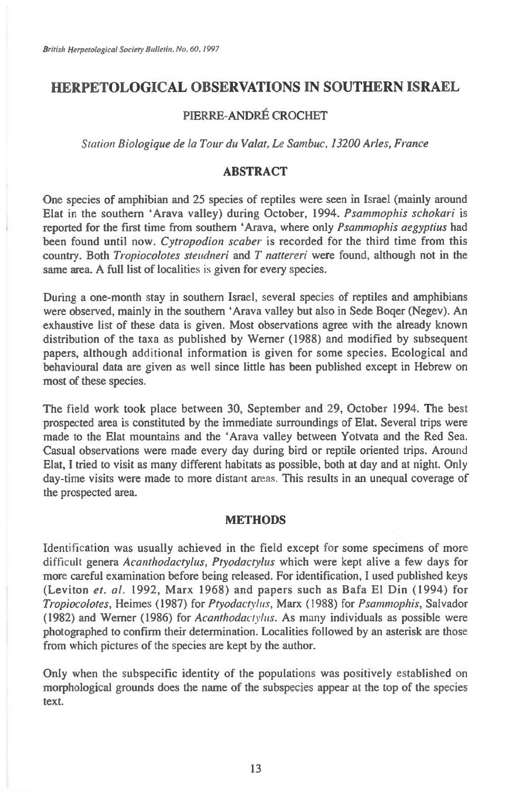# **HERPETOLOGICAL OBSERVATIONS IN SOUTHERN ISRAEL**

## **PIERRE-ANDRE CROCHET**

*Station Biologique de la Tour du Valat, Le Sambuc, 13200 Arles, France* 

## **ABSTRACT**

**One species of amphibian and 25 species of reptiles were seen in Israel (mainly around Elat in the southern `Arava valley) during October, 1994.** *Psammophis schokari* **is reported for the first time from southern `Arava, where only** *Psammophis aegyptius* **had been found until now.** *Cytropodion scaber is* **recorded for the third time from this country. Both** *Tropiocolotes steudneri* **and** *T nattereri* **were found, although not in the same area. A full list of localities is given for every species.** 

**During a one-month stay in southern Israel, several species of reptiles and amphibians were observed, mainly in the southern `Arava valley but also in Sede Boger (Negev). An exhaustive list of these data is given. Most observations agree with the already known distribution of the taxa as published by Werner (1988) and modified by subsequent papers, although additional information is given for some species. Ecological and behavioural data are given as well since little has been published except in Hebrew on most of these species.** 

**The field work took place between 30, September and 29, October 1994. The best prospected area is constituted by the immediate surroundings of Elat. Several trips were made to the Elat mountains and the `Arava valley between Yotvata and the Red Sea. Casual observations were made every day during bird or reptile oriented trips. Around Elat, I tried to visit as many different habitats as possible, both at day and at night. Only day-time visits were made to more distant areas. This results in an unequal coverage of the prospected area.** 

### **METHODS**

**Identification was usually achieved in the field except for some specimens of more difficult genera** *Acanthodactylus, Ptyodactylus* **which were kept alive a few days for more careful examination before being released. For identification, I used published keys (Leviton** *et. al.* **1992, Marx 1968) and papers such as Bafa El Din (1994) for**  *Tropiocolotes,* **Heimes (1987) for** *Ptyodactylus,* **Marx (1988) for** *Psammophis,* **Salvador (1982) and Werner (1986) for** *Acanthodactylus.* **As many individuals as possible were photographed to confirm their determination. Localities followed by an asterisk are those from which pictures of the species are kept by the author.** 

**Only when the subspecific identity of the populations was positively established on morphological grounds does the name of the subspecies appear at the top of the species text.**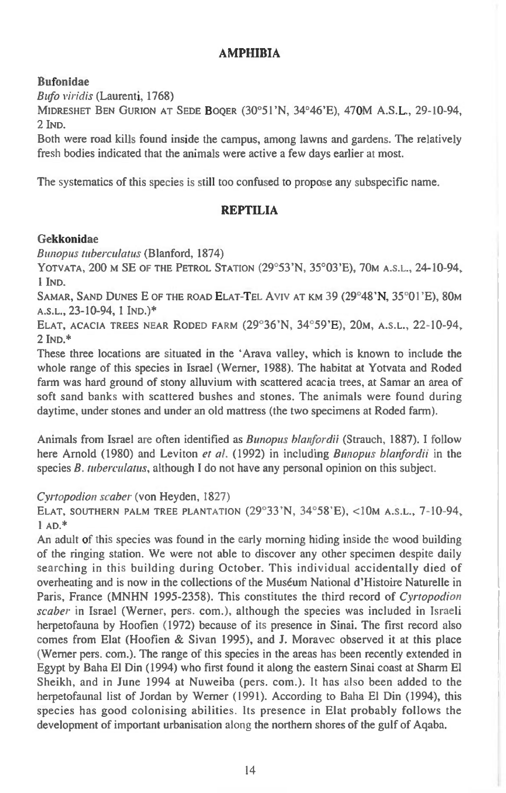## **AMPHIBIA**

# **Bufonidae**

*Bufo viridis* (Laurenti, 1768)

**MIDRESHET BEN GURION AT SEDE BOQER** (30°51'N, 34°46'E), 470M A.S.L., 29-10-94, 2 IND.

Both were road kills found inside the campus, among lawns and gardens. The relatively fresh bodies indicated that the animals were active a few days earlier at most.

The systematics of this species is still too confused to propose any subspecific name.

# **REPTILIA**

# **Gekkonidae**

*Bunopus tuberculatus* (Blanford, 1874)

**YOTVATA,** 200 **M** SE **OF THE PETROL STATION** (29°53'N, 35°03'E), 70M **A.S.L.,** 24-10-94, 1 **IND.** 

SAMAR, SAND DUNES E OF THE ROAD ELAT-TEL AVIV AT KM 39 (29°48'N, 35°01'E), 80M **A.S.L.,** 23-10-94, 1 **IND.)\*** 

**ELAT, ACACIA TREES NEAR RODED FARM** (29°36'N, 34°59'E), 20M, **A.S.L.,** 22-10-94, **2 IND.\*** 

These three locations are situated in the `Arava valley, which is known to include the whole range of this species in Israel (Werner, 1988). The habitat at Yotvata and Roded farm was hard ground of stony alluvium with scattered acacia trees, at Samar an area of soft sand banks with scattered bushes and stones. The animals were found during daytime, under stones and under an old mattress (the two specimens at Roded farm).

Animals from Israel are often identified as *Bunopus blanfordii* (Strauch, 1887). I follow here Arnold (1980) and Leviton *et al.* (1992) in including *Bunopus blanfordii* in the species *B. tuberculatus,* although I do not have any personal opinion on this subject.

# *Cyrtopodion scaber* (von Heyden, 1827)

**ELAT, SOUTHERN PALM TREE PLANTATION** (29°33'N, 34°58'E), <10m **A.S.L.,** 7-10-94, 1 **AD.\*** 

An adult of this species was found in the early morning hiding inside the wood building of the ringing station. We were not able to discover any other specimen despite daily searching in this building during October. This individual accidentally died of overheating and is now in the collections of the Museum National d'Histoire Naturelle in Paris, France (MNHN 1995-2358). This constitutes the third record of *Cyrtopodion scaber* in Israel (Werner, pers. com.), although the species was included in Israeli herpetofauna by Hoofien (1972) because of its presence in Sinai. The first record also comes from Elat (Hoofien & Sivan 1995), and J. Moravec observed it at this place (Werner pers. com.). The range of this species in the areas has been recently extended in Egypt by Baha El Din (1994) who first found it along the eastern Sinai coast at Sharm El Sheikh, and in June 1994 at Nuweiba (pers. com.). It has also been added to the herpetofaunal list of Jordan by Werner (1991). According to Baha El Din (1994), this species has good colonising abilities. Its presence in Elat probably follows the development of important urbanisation along the northern shores of the gulf of Aqaba.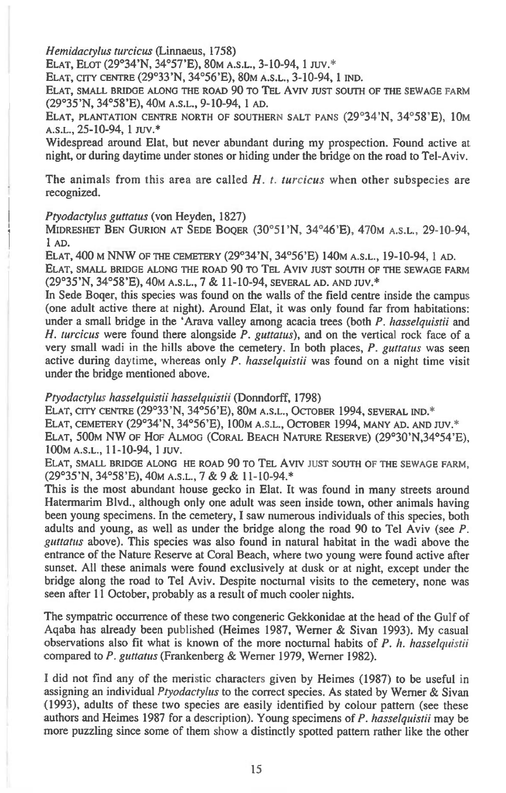*Hemidactylus turcicus* **(Linnaeus, 1758)** 

**ELAT, ELOT (29°34'N, 34°57'E), 80M A.S.L., 3-10-94, 1 JUV.\*** 

**ELAT, CITY CENTRE (29°33'N, 34°56'E), 80M A.S.L., 3-10-94, 1 IND.** 

**ELAT, SMALL BRIDGE ALONG THE ROAD 90 TO TEL AVIV JUST SOUTH OF THE SEWAGE FARM (29°35'N, 34°58'E), 40M A.S.L., 9-10-94, 1 AD.** 

**ELAT, PLANTATION CENTRE NORTH OF SOUTHERN SALT PANS (29°34'N, 34°58'E), 10M A.S.L., 25-10-94, 1 my.\*** 

**Widespread around Elat, but never abundant during my prospection. Found active at night, or during daytime under stones or hiding under the bridge on the road to Tel-Aviv.** 

**The animals from this area are called** *H. t. turcicus* **when other subspecies are recognized.** 

#### *Ptyodactylus guttatus* **(von Heyden, 1827)**

**MIDRESHET BEN GURION AT SEDE BOQER (30°51'N, 34°46'E), 470M A.S.L., 29-10-94, 1 AD.** 

**ELAT, 400 M NNW OF THE CEMETERY (29°34'N, 34°56'E) 140M A.S.L., 19-10-94, 1 AD.** 

**ELAT, SMALL BRIDGE ALONG THE ROAD 90 TO TEL AVIV JUST SOUTH OF THE SEWAGE FARM (29°35'N, 34°58'E), 40M A.S.L., 7 & 11-10-94, SEVERAL AD. AND JUV.''** 

**In Sede Boger, this species was found on the walls of the field centre inside the campus (one adult active there at night). Around Elat, it was only found far from habitations: under a small bridge in the `Arava valley among acacia trees (both** *P. hasselquistii* **and**  *H. turcicus* **were found there alongside** *P. guttatus),* **and on the vertical rock face of a very small wadi in the hills above the cemetery. In both places,** *P. guttatus* **was seen active during daytime, whereas only** *P. hasselquistii* **was found on a night time visit under the bridge mentioned above.** 

#### *Ptyodactylus hasselquistii hasselquistii* **(Donndorff, 1798)**

**ELAT, CITY CENTRE (29°33'N, 34°56'E), 80M A.S.L., OCTOBER 1994, SEVERAL IND.\* ELAT, CEMETERY (29°34'N, 34°56'E), 100m A.S.L., OCTOBER 1994, MANY AD. AND** JUV.\* **ELAT, 500M NW OF HOF ALMOG (CORAL BEACH NATURE RESERVE) (29°30'N,34°54'E), 100m A.S.L., 11-10-94, 1 JUV.** 

**ELAT, SMALL BRIDGE ALONG HE ROAD 90 TO TEL AVIV JUST SOUTH OF THE SEWAGE FARM, (29°35'N, 34°58'E), 40M A.S.L.,** *7 &* **9 & 11-10-94.\*** 

**This is the most abundant house gecko in Elat. It was found in many streets around Hatermarim Blvd., although only one adult was seen inside town, other animals having been young specimens. In the cemetery, I saw numerous individuals of this species, both adults and young, as well as under the bridge along the road 90 to Tel Aviv (see** *P. guttatus* **above). This species was also found in natural habitat in the wadi above the entrance of the Nature Reserve at Coral Beach, where two young were found active after sunset. All these animals were found exclusively at dusk or at night, except under the bridge along the road to Tel Aviv. Despite nocturnal visits to the cemetery, none was seen after 11 October, probably as a result of much cooler nights.** 

**The sympatric occurrence of these two congeneric Gekkonidae at the head of the Gulf of Aqaba has already been published (Heimes 1987, Werner & Sivan 1993). My casual observations also fit what is known of the more nocturnal habits of** *P. h. hasselquistii*  **compared to** *P. guttatus* **(Frankenberg & Werner 1979, Werner 1982).** 

**I did not find any of the meristic characters given by Heimes (1987) to be useful in assigning an individual** *Ptyodactylus* **to the correct species. As stated by Werner & Sivan (1993), adults of these two species are easily identified by colour pattern (see these authors and Heimes 1987 for a description). Young specimens of** *P. hasselquistii* **may be more puzzling since some of them show a distinctly spotted pattern rather like the other**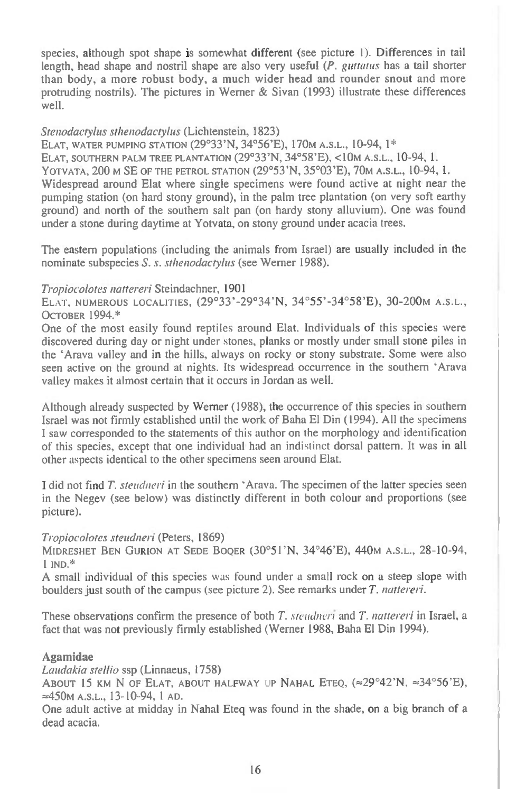species, although spot shape is somewhat different (see picture 1). Differences in tail length, head shape and nostril shape are also very useful *(P. guttatus* has a tail shorter than body, a more robust body, a much wider head and rounder snout and more protruding nostrils). The pictures in Werner & Sivan (1993) illustrate these differences well.

### *Stenodactylus sthenodactylus* (Lichtenstein, 1823)

**ELAT, WATER PUMPING STATION** (29°33'N, 34°56'E), 170M **A.S.L.,** 10-94, 1\*

**ELAT, SOUTHERN PALM TREE PLANTATION** (29°33'N, 34°58'E), <10m **A.S.L.,** 10-94, 1.

**YOTVATA,** 200 M SE **OF THE PETROL STATION** (29°53'N, 35°03'E), 70M **A.S.L.,** 10-94, 1.

Widespread around Elat where single specimens were found active at night near the pumping station (on hard stony ground), in the palm tree plantation (on very soft earthy ground) and north of the southern salt pan (on hardy stony alluvium). One was found under a stone during daytime at Yotvata, on stony ground under acacia trees.

The eastern populations (including the animals from Israel) are usually included in the nominate subspecies *S. s. sthenodactyhts* (see Werner 1988).

#### *Tropiocolotes nattereri* Steindachner, 1901

ELAT, **NUMEROUS LOCALITIES,** (29°33 ' -29°34 'N, 34°55 ' -34°58 'E), 30-200M **A.S.L., OCTOBER** 1994.\*

One of the most easily found reptiles around Elat. Individuals of this species were discovered during day or night under stones, planks or mostly under small stone piles in the `Arava valley and in the hills, always on rocky or stony substrate. Some were also seen active on the ground at nights. Its widespread occurrence in the southern `Arava valley makes it almost certain that it occurs in Jordan as well.

Although already suspected by Werner (1988), the occurrence of this species in southern Israel was not firmly established until the work of Baha El Din (1994). All the specimens I saw corresponded to the statements of this author on the morphology and identification of this species, except that one individual had an indistinct dorsal pattern. It was in all other aspects identical to the other specimens seen around Elat.

I did not find *T. steudneri in* the southern 'Arava. The specimen of the latter species seen in the Negev (see below) was distinctly different in both colour and proportions (see picture).

#### *Tropiocolotes steudneri* (Peters, 1869)

**MIDRESHET BEN GURION AT SEDE BOQER** (30°5 I 'N, 34°46'E), 440M **A.S.L.,** 28-10-94, I **IND.\*** 

A small individual of this species was found under a small rock on a steep slope with boulders just south of the campus (see picture 2). See remarks under *T. nattereri.* 

These observations confirm the presence of both *T. steudneri* and *T. nattereri* in Israel, a fact that was not previously firmly established (Werner 1988, Baha El Din 1994).

### **Agamidae**

*Laudakia stellio* ssp (Linnaeus, 1758)

ABOUT 15 KM N OF ELAT, ABOUT HALFWAY UP NAHAL ETEQ,  $\approx 29^{\circ}42^{\prime}N$ ,  $\approx 34^{\circ}56^{\prime}E$ ), =450m **A.S.L.,** 13-10-94, 1 **AD.** 

One adult active at midday in Nahal Eteq was found in the shade, on a big branch of a dead acacia.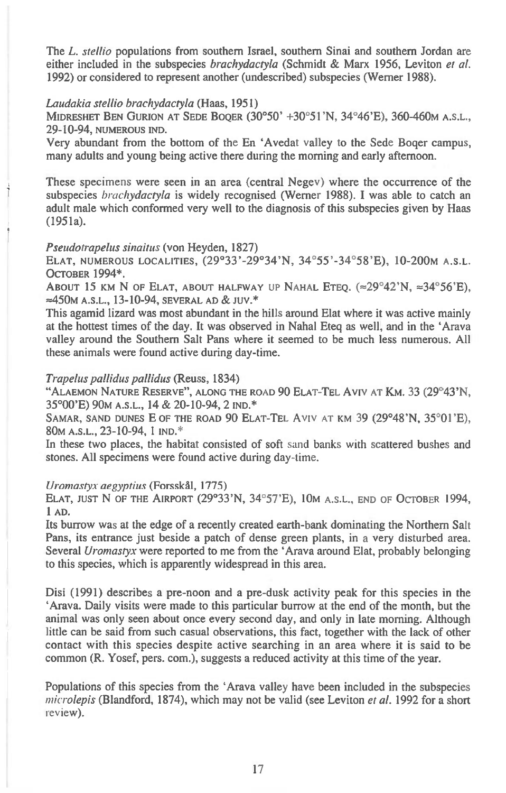The *L. stellio* populations from southern Israel, southern Sinai and southern Jordan are either included in the subspecies *brachydactyla* (Schmidt & Marx 1956, Leviton *et al.*  1992) or considered to represent another (undescribed) subspecies (Werner 1988).

#### *Laudakia stellio brachydactyla* (Haas, 1951)

**MIDRESHET BEN OURION AT SEDE BOQER** (30°50' +30°51'N, 34°46'E), 360-460M **A.S.L.,**  29-10-94, **NUMEROUS IND.** 

Very abundant from the bottom of the En 'Avedat valley to the Sede Boger campus, many adults and young being active there during the morning and early afternoon.

These specimens were seen in an area (central Negev) where the occurrence of the subspecies *brachydactyla is* widely recognised (Werner 1988). I was able to catch an adult male which conformed very well to the diagnosis of this subspecies given by Haas (1951a).

### *Pseudotrapehts sinaitus* (von Heyden, 1827)

**ELAT, NUMEROUS LOCALITIES,** (29°33'-29°34'N, 34°55'-34°58'E), 10-200M **A.S.L. OCTOBER** 1994\*.

ABOUT 15 KM N OF ELAT, ABOUT HALFWAY UP NAHAL ETEO.  $\approx 29^{\circ}42^{\prime}N$ ,  $\approx 34^{\circ}56^{\prime}E$ ), **A.S.L.,** 13-10-94, **SEVERAL AD & JUV.\*** 

This agamid lizard was most abundant in the hills around Elat where it was active mainly at the hottest times of the day. It was observed in Nahal Eteq as well, and in the 'Arava valley around the Southern Salt Pans where it seemed to be much less numerous. All these animals were found active during day-time.

### *Trapelus pallidus pallidus* (Reuss, 1834)

**"ALAEMON NATURE RESERVE", ALONG THE ROAD** 90 **ELAT-TEL** AVIV **AT KM.** 33 (29°43'N, 35°00'E) 90M **A.S.L.,** 14 & 20-10-94, 2 **IND.\*** 

**SAMAR, SAND DUNES** E **OF THE ROAD** 90 **ELAT-TEL AVIV AT KM** 39 (29°48'N, 35°01'E), 80M A.S.L., 23-10-94, 1 **IND.\*** 

In these two places, the habitat consisted of soft sand banks with scattered bushes and stones. All specimens were found active during day-time.

## *Uromastyx aegyptius* (Forsskal, 1775)

**ELAT, JUST** N **OF THE AIRPORT** (29°33'N, 34°57'E), 10m **A.S.L., END OF OCTOBER** 1994, **1 AD.** 

Its burrow was at the edge of a recently created earth-bank dominating the Northern Salt Pans, its entrance just beside a patch of dense green plants, in a very disturbed area. Several *Uromastyx* were reported to me from the 'Arava around Elat, probably belonging to this species, which is apparently widespread in this area.

Disi (1991) describes a pre-noon and a pre-dusk activity peak for this species in the `Arava. Daily visits were made to this particular burrow at the end of the month, but the animal was only seen about once every second day, and only in late morning. Although little can be said from such casual observations, this fact, together with the lack of other contact with this species despite active searching in an area where it is said to be common (R. Yosef, pers. com.), suggests a reduced activity at this time of the year.

Populations of this species from the 'Arava valley have been included in the subspecies *microlepis* (Blandford, 1874), which may not be valid (see Leviton *et al.* 1992 for a short review).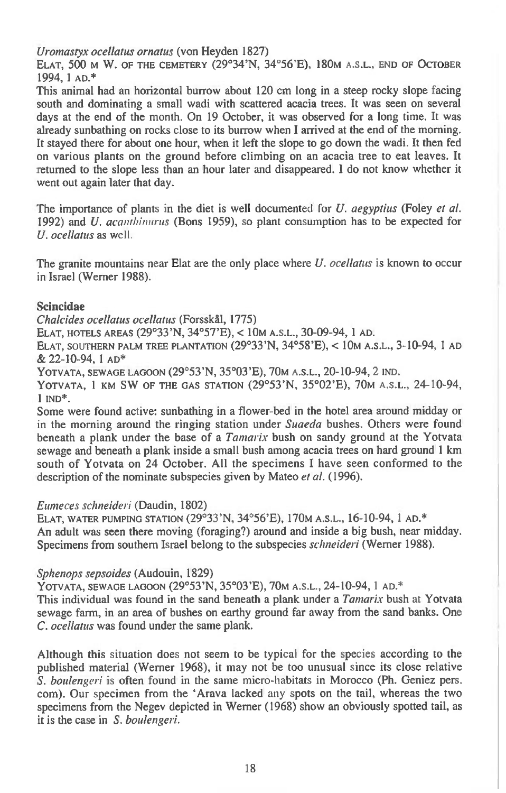*Uromastyx ocellatus ornatus* (von Heyden 1827)

**ELAT,** 500 **M W. OF THE CEMETERY** (29°34'N, 34°56'E), 180M **A.S.L., END OF OCTOBER**  1994, 1 **AD.\*** 

This animal had an horizontal burrow about 120 cm long in a steep rocky slope facing south and dominating a small wadi with scattered acacia trees. It was seen on several days at the end of the month. On 19 October, it was observed for a long time. It was already sunbathing on rocks close to its burrow when I arrived at the end of the morning. It stayed there for about one hour, when it left the slope to go down the wadi. It then fed on various plants on the ground before climbing on an acacia tree to eat leaves. It returned to the slope less than an hour later and disappeared. I do not know whether it went out again later that day.

The importance of plants in the diet is well documented for *U. aegyptius* (Foley *et al.*  1992) and *U. acanthinirrus* (Bons 1959), so plant consumption has to be expected for *U. ocellatus as* well.

The granite mountains near Elat are the only place where *U. ocellatus* is known to occur in Israel (Werner 1988).

## **Scincidae**

*Chalcides ocellatus ocellatus* (Forsskal, 1775)

**ELAT, HOTELS AREAS** (29°33'N, 34°57'E), < **10M A.S.L.,** 30-09-94, 1 **AD.** 

**ELAT, SOUTHERN PALM TREE PLANTATION** (29°33'N, 34°58'E), < **10M A.S.L.,** 3-10-94, 1 **AD**  & 22-10-94, 1 **AD\*** 

**YOTVATA, SEWAGE LAGOON** (29°53'N, 35°03'E), 70M **A.S.L.,** 20-10-94, 2 **IND.** 

**YOTVATA, 1 KM SW OF THE GAS STATION** (29°53'N, 35°02'E), 70M **A.S.L.,** 24-10-94, 1 **IND\*.** 

Some were found active: sunbathing in a flower-bed in the hotel area around midday or in the morning around the ringing station under *Suaeda* bushes. Others were found beneath a plank under the base of *a Tamarix* bush on sandy ground at the Yotvata sewage and beneath a plank inside a small bush among acacia trees on hard ground 1 km south of Yotvata on 24 October. All the specimens I have seen conformed to the description of the nominate subspecies given by Mateo *et al.* (1996).

### *Eumeces schneideri* (Daudin, 1802)

**ELAT, WATER PUMPING STATION** (29°33'N, 34°56'E), 170M **A.S.L.,** 16-10-94, 1 **AD.\***  An adult was seen there moving (foraging?) around and inside a big bush, near midday. Specimens from southern Israel belong to the subspecies *schneideri* (Werner 1988).

### *Sphenops sepsoides* (Audouin, 1829)

**YOTVATA, SEWAGE LAGOON** (29°53'N, 35°03'E), 70M **A.S.L.,** 24-10-94, 1 **AD.\*** 

This individual was found in the sand beneath a plank under a *Tamarix* bush at Yotvata sewage farm, in an area of bushes on earthy ground far away from the sand banks. One *C. ocellatus* was found under the same plank.

Although this situation does not seem to be typical for the species according to the published material (Werner 1968), it may not be too unusual since its close relative *S. boulengeri* is often found in the same micro-habitats in Morocco (Ph. Geniez pers. corn). Our specimen from the `Arava lacked any spots on the tail, whereas the two specimens from the Negev depicted in Werner (1968) show an obviously spotted tail, as it is the case in *S. boulengeri.*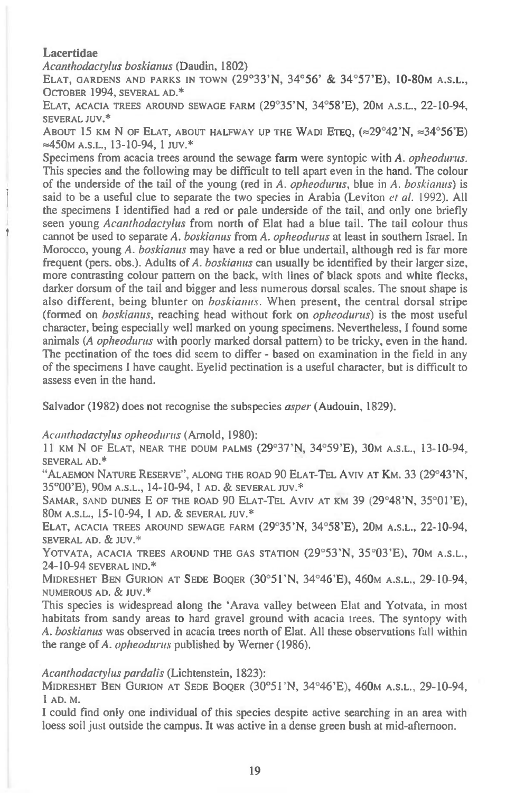## **Lacertidae**

*Acanthodactyhts boskianus* (Daudin, 1802)

**ELAT, GARDENS AND PARKS IN TOWN** (29°33'N, 34°56' & 34°57'E), 10-80M **A.S.L., OCTOBER** 1994, **SEVERAL AD.\*** 

**ELAT, ACACIA TREES AROUND SEWAGE FARM** (29°35'N, 34°58'E), 20M **A.S.L.,** 22-10-94, **SEVERAL JUV.\*** 

ABOUT 15 KM N OF ELAT, ABOUT HALFWAY UP THE WADI ETEQ,  $\approx 29^{\circ}42^{\prime}$ N,  $\approx 34^{\circ}56^{\prime}$ E) ≈450m A.S.L., 13-10-94, 1 JUV.<sup>\*</sup>

Specimens from acacia trees around the sewage farm were syntopic with A. *opheodurus.*  This species and the following may be difficult to tell apart even in the hand. The colour of the underside of the tail of the young (red in A. *opheodurus,* blue in *A. boskianus) is*  said to be a useful clue to separate the two species in Arabia (Leviton *et al.* 1992). All the specimens I identified had a red or pale underside of the tail, and only one briefly seen young *Acanthodactylus* from north of Elat had a blue tail. The tail colour thus cannot be used to separate *A. boskianus* from A. *opheodurus* at least in southern Israel. In Morocco, young *A. boskianus* may have a red or blue undertail, although red is far more frequent (pers. obs.). Adults of *A. boskianus* can usually be identified by their larger size, more contrasting colour pattern on the back, *with* lines of black spots and white flecks, darker dorsum of the tail and bigger and less numerous dorsal scales. The snout shape is also different, being blunter on *boskianus.* When present, the central dorsal stripe (formed on *boskianus,* reaching head without fork on *opheodurus) is* the most useful character, being especially well marked on young specimens. Nevertheless, **I** found some animals (A *opheodurus* with poorly marked dorsal pattern) to be tricky, even in the hand. The pectination of the toes did seem to differ - based on examination in the field in any of the specimens I have caught. Eyelid pectination is a useful character, but is difficult to assess even in the hand.

Salvador (1982) does not recognise the subspecies *asper* (Audouin, 1829).

### *Acanthodactylus opheodurus* (Arnold, 1980):

11 **KM** N **OF ELAT, NEAR THE DOUM PALMS** (29°37'N, 34°59'E), 30M **A.S.L.,** 13-10-94, **SEVERAL AD.\*** 

**"ALAEMON NATURE RESERVE", ALONG THE ROAD** 90 **ELAT-TEL AVIV AT KM.** 33 (29°43'N, 35°00'E), 90M **A.S.L.,** 14-10-94, 1 **AD. & SEVERAL JUV.\*** 

**SAMAR,** SAND **DUNES E OF THE ROAD** 90 **ELAT-TEL AVIV AT KM** 39 (29°48'N, 35°01'E), 80M **A.S.L.,** 15-10-94, 1 **AD. & SEVERAL JUV.\*** 

**ELAT, ACACIA TREES AROUND SEWAGE FARM** (29°35'N, 34°58'E), 20M **A.S.L.,** 22-10-94, **SEVERAL AD. & JUV.\*** 

**YOTVATA, ACACIA TREES AROUND THE GAS STATION** (29°53'N, 35°03'E), 70M **A.S.L.,**  24-10-94 **SEVERAL IND.\*** 

**MIDRESHET BEN GURION AT SEDE BOQER** (30°51'N, 34°46'E), 460M **A.S.L.,** 29-10-94, **NUMEROUS AD. & JUV.\*** 

This species is widespread along the 'Arava valley between Elat and Yotvata, in most habitats from sandy areas to hard gravel ground with acacia trees. The syntopy with A. *boskianus* was observed in acacia trees north of Elat. All these observations fall within the range of A. *opheodurus* published by Werner (1986).

#### *Acanthodactylus pardalis* (Lichtenstein, 1823):

**MIDRESHET BEN GURION AT SEDE BOQER** (30°51'N, 34°46'E), 460M **A.S.L.,** 29-10-94, 1 **AD. M.** 

I could find only one individual of this species despite active searching in an area with loess soil just outside the campus. It was active in a dense green bush at mid-afternoon.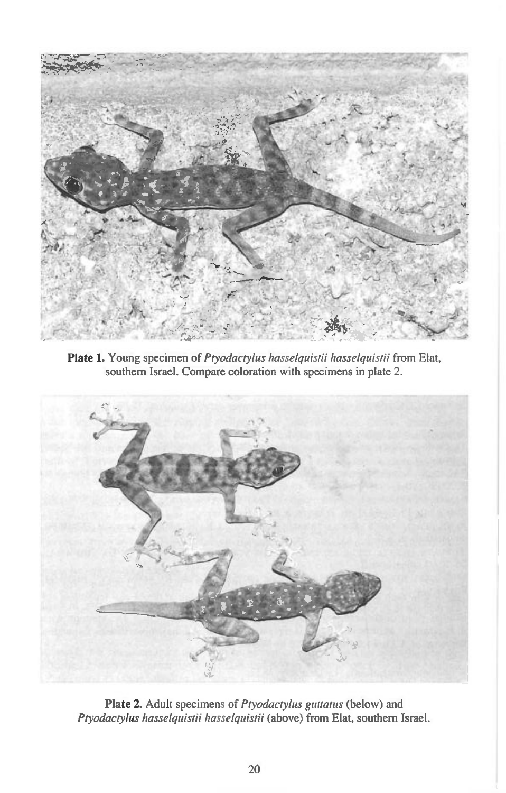

**Plate 1.** Young specimen of *Ptyodactylus hasselquistii hasselquistii* from Elat, southern Israel. Compare coloration with specimens in plate 2.



**Plate 2.** Adult specimens of *Ptyodactyhts guttatus* (below) and *hyodactylus hasselquistii hasselquistii* (above) from Elat, southern Israel.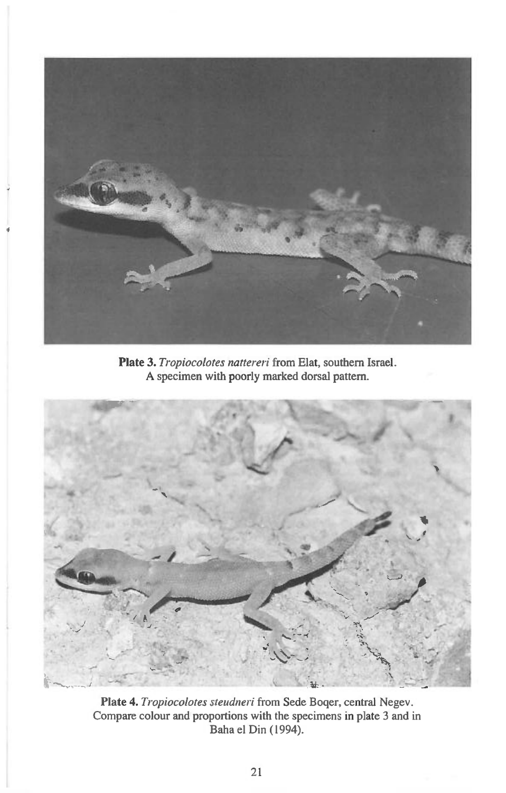

**Plate 3.** *Tropiocolotes nattereri* **from Elat, southern Israel.** 



**Plate 4.** *Tropiocolotes steudneri* **from Sede Boger, central Negev. Compare colour and proportions with the specimens in plate 3 and in Baha el Din (1994).**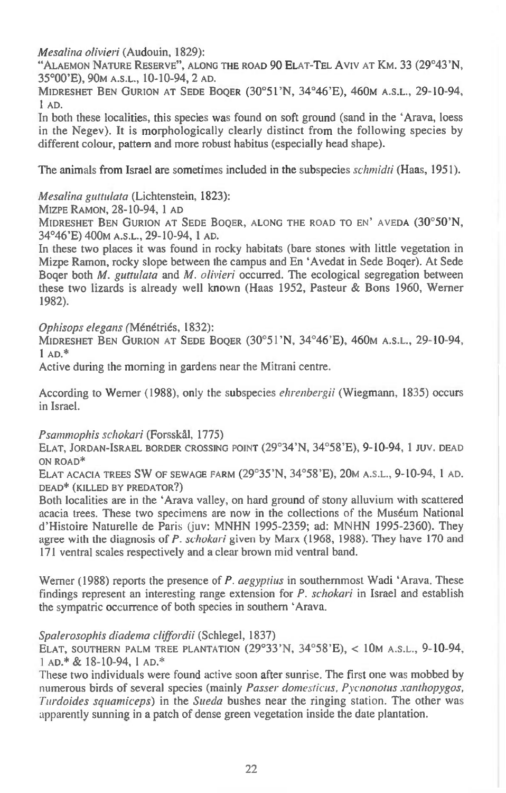*Mesalina olivieri* **(Audouin, 1829):** 

**"ALAEMON NATURE RESERVE", ALONG THE ROAD 90 ELAT-TEL Aviv AT KM. 33 (29°43'N, 35°00'E), 90M A.S.L., 10-10-94, 2 AD.** 

**MIDRESHET BEN GURION AT SEDE BOQER (30°51'N, 34°46'E), 460M A.S.L., 29-10-94, 1 AD.** 

**In both these localities, this species was found on soft ground (sand in the `Arava, loess in the Negev). It is morphologically clearly distinct from the following species by different colour, pattern and more robust habitus (especially head shape).** 

**The animals from Israel are sometimes included in the subspecies** *schmidti* **(Haas, 1951).** 

*Mesalina guttulata* **(Lichtenstein, 1823):** 

**MIZPE RAMON, 28-10-94, 1 AD** 

**MIDRESHET BEN GURION AT SEDE BOQER, ALONG THE ROAD TO EN' AVEDA (30°50'N, 34°46'E) 400M A.S.L., 29-10-94, 1 AD.** 

**In these two places it was found in rocky habitats (bare stones with little vegetation in Mizpe Ramon, rocky slope between the campus and En `Avedat in Sede Boger). At Sede Boger both** *M. guttulata* **and** *M. olivieri* **occurred. The ecological segregation between these two lizards is already well known (Haas 1952, Pasteur & Bons 1960, Werner 1982).** 

*Ophisops elegans* **(Menetries, 1832):** 

**MIDRESHET BEN GURION AT SEDE BOQER (30°51'N, 34°46'E), 460M A.S.L., 29-10-94, 1 AD.\*** 

**Active during the morning in gardens near the Mitrani centre.** 

**According to Werner (1988), only the subspecies** *ehrenbergii* **(Wiegmann, 1835) occurs in Israel.** 

*Psammophis schokari* **(Forsskal, 1775)** 

**ELAT, JORDAN-ISRAEL BORDER CROSSING POINT (29°34'N, 34°58'E), 9-10-94, 1 JUV. DEAD ON ROAD\*** 

**ELAT ACACIA TREES SW OF SEWAGE FARM (29°35'N, 34°58'E), 20M A.S.L., 9-10-94, 1 AD. DEAD\* (KILLED BY PREDATOR?)** 

**Both localities are in the `Arava valley, on hard ground of stony alluvium with scattered**  *acacia* **trees. These two specimens are now in the collections of the Museum National d'Histoire Naturelle de Paris (juv: MNHN 1995-2359; ad: MNHN 1995-2360). They agree with the diagnosis of** *P. schokari* **given by Marx (1968, 1988). They have 170 and 171 ventral scales respectively and a clear brown mid ventral band.** 

**Werner (1988) reports the presence of** *P. aegyptius* **in southernmost Wadi `Arava. These findings represent an interesting range extension for** *P. schokari* **in Israel and establish the sympatric occurrence of both species in southern `Arava.** 

### *Spalerosophis diadema cliffordii* **(Schlegel, 1837)**

**ELAT, SOUTHERN PALM TREE PLANTATION (29°33'N, 34°58'E), < 10m A.S.L., 9-10-94, AD.\* & 18-10-94, 1 AD.\*** 

**These two individuals were found active soon after sunrise. The first one was mobbed by numerous birds of several species (mainly** *Passer domesticus, Pycnonotus xanthopygos, Turdoides squamiceps) in* **the** *Sueda* **bushes near the ringing station. The other was apparently sunning in a patch of dense green vegetation inside the date plantation.**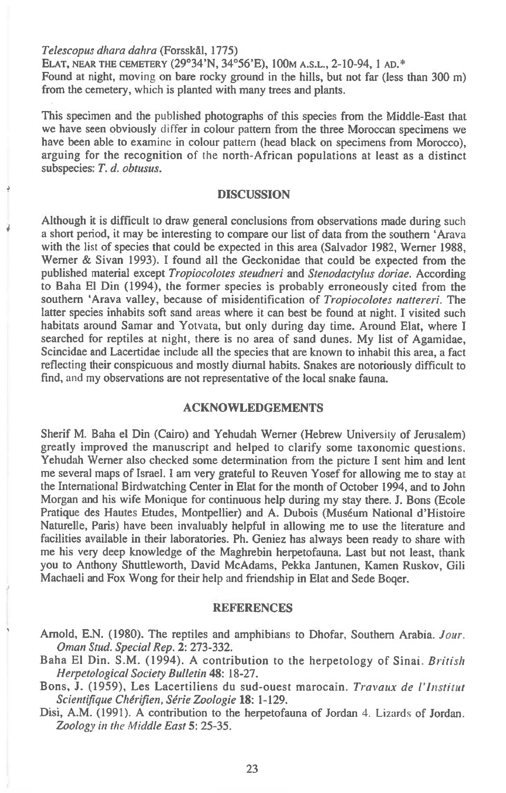*Telescopus dhara dahra* **(ForsskAl, 1775)** 

**ELAT, NEAR THE CEMETERY (29°34'N, 34°56'E), 100m A.S.L., 2-10-94, 1 AD.\***  Found at night, moving on bare rocky ground in the hills, but not far (less than 300 m) **from the cemetery, which is planted with many trees and plants.** 

**This specimen and the published photographs of this species from the Middle-East that we have seen obviously differ in colour pattern from the three Moroccan specimens we have been able to examine in colour pattern (head black on specimens from Morocco), arguing for the recognition of the north-African populations at least as a distinct subspecies:** *T. d. obtusus.* 

### **DISCUSSION**

**Although it is difficult to draw general conclusions from observations made during such a short period, it may be interesting to compare our list of data from the southern `Arava with the list of species that could be expected in this area (Salvador 1982, Werner 1988, Werner & Sivan 1993). I found all the Geckonidae that could be expected from the published material except** *Tropiocolotes steudneri* **and** *Stenodactylus doriae.* **According to Baha El Din (1994), the former species is probably erroneously cited from the southern `Arava valley, because of misidentification of** *Tropiocolotes nattereri.* **The latter species inhabits soft sand areas where it can best be found at night. I visited such habitats around Samar and Yotvata, but only during day time. Around Elat, where I searched for reptiles at night, there is no area of sand dunes. My list of Agamidae, Scincidae and Lacertidae include all the species that are known to inhabit this area, a fact reflecting their conspicuous and mostly diurnal habits. Snakes are notoriously difficult to find, and my observations are not representative of the local snake fauna.** 

### **ACKNOWLEDGEMENTS**

**Sherif M. Baha el Din (Cairo) and Yehudah Werner (Hebrew University of Jerusalem) greatly improved the manuscript and helped to clarify some taxonomic questions. Yehudah Werner also checked some determination from the picture I sent him and lent me several maps of Israel. I am very grateful to Reuven Yosef for allowing me to stay at the International Birdwatching Center in Elat for the month of October 1994, and to John Morgan and his wife Monique for continuous help during my stay there. J. Bons (Ecole Pratique des Hautes Etudes, Montpellier) and A. Dubois (Museum National d'Histoire Naturelle, Paris) have been invaluably helpful in allowing me to use the literature and facilities available in their laboratories. Ph. Geniez has always been ready to share with me his very deep knowledge of the Maghrebin herpetofauna. Last but not least, thank you to Anthony Shuttleworth, David McAdams, Pekka Jantunen, Kamen Ruskov, Gili Machaeli and Fox Wong for their help and friendship in Elat and Sede Boger.** 

#### **REFERENCES**

- **Arnold, E.N. (1980). The reptiles and amphibians to Dhofar, Southern Arabia.** *four. Oman Stud. Special Rep.* **2: 273-332.**
- **Baha El Din. S.M. (1994). A contribution to the herpetology of Sinai.** *British Herpetological Society Bulletin* **48: 18-27.**
- **Bons, J. (1959), Les Lacertiliens du sud-ouest marocain.** *Travaux de l'Institut Scientifique Cherifien, Serie Zoologie* **18: 1-129.**
- Disi, A.M. (1991). A contribution to the herpetofauna of Jordan 4. Lizards of Jordan. *Zoology in the Middle East* **5: 25-35.**